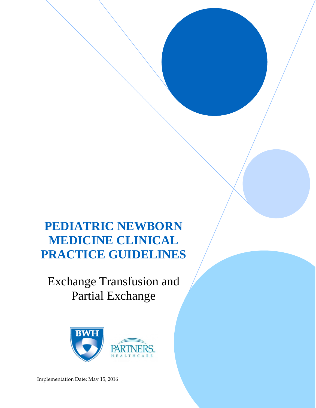# **PEDIATRIC NEWBORN MEDICINE CLINICAL PRACTICE GUIDELINES**

# Exchange Transfusion and Partial Exchange



Implementation Date: May 15, 2016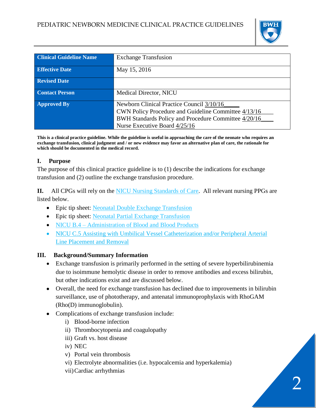

| <b>Clinical Guideline Name</b> | <b>Exchange Transfusion</b>                                                                                                                                                                |
|--------------------------------|--------------------------------------------------------------------------------------------------------------------------------------------------------------------------------------------|
| <b>Effective Date</b>          | May 15, 2016                                                                                                                                                                               |
| <b>Revised Date</b>            |                                                                                                                                                                                            |
| <b>Contact Person</b>          | Medical Director, NICU                                                                                                                                                                     |
| <b>Approved By</b>             | Newborn Clinical Practice Council 3/10/16<br>CWN Policy Procedure and Guideline Committee 4/13/16<br>BWH Standards Policy and Procedure Committee 4/20/16<br>Nurse Executive Board 4/25/16 |

**This is a clinical practice guideline. While the guideline is useful in approaching the care of the neonate who requires an exchange transfusion, clinical judgment and / or new evidence may favor an alternative plan of care, the rationale for which should be documented in the medical record.**

# **I. Purpose**

The purpose of this clinical practice guideline is to (1) describe the indications for exchange transfusion and (2) outline the exchange transfusion procedure.

**II.** All CPGs will rely on the [NICU Nursing Standards of Care.](http://www.bwhpikenotes.org/policies/Nursing/CWN_Clinical_Practice_Manual/NICU/NICU_Standards.pdf) All relevant nursing PPGs are listed below.

- Epic tip sheet: [Neonatal Double Exchange Transfusion](https://peccutover.partners.org/tipsheets/STK_NeonatalDoubleExchangeTransfusion_PHE_TS.pdf)
- Epic tip sheet: [Neonatal Partial Exchange Transfusion](https://peccutover.partners.org/tipsheets/STK_NeonatalPartialExhangeTransfusions_PHE_TS.pdf)
- NICU B.4 [Administration of Blood and Blood Products](https://hospitalpolicies.ellucid.com/documents/view/3194)
- NICU C.5 Assisting with Umbilical Vessel Catheterization and/or Peripheral Arterial [Line Placement and Removal](https://hospitalpolicies.ellucid.com/documents/view/3198/3282/)

# **III. Background/Summary Information**

- Exchange transfusion is primarily performed in the setting of severe hyperbilirubinemia due to isoimmune hemolytic disease in order to remove antibodies and excess bilirubin, but other indications exist and are discussed below.
- Overall, the need for exchange transfusion has declined due to improvements in bilirubin surveillance, use of phototherapy, and antenatal immunoprophylaxis with RhoGAM (Rho(D) immunoglobulin).
- Complications of exchange transfusion include:
	- i) Blood-borne infection
	- ii) Thrombocytopenia and coagulopathy
	- iii) Graft vs. host disease
	- iv) NEC
	- v) Portal vein thrombosis
	- vi) Electrolyte abnormalities (i.e. hypocalcemia and hyperkalemia)
	- vii)Cardiac arrhythmias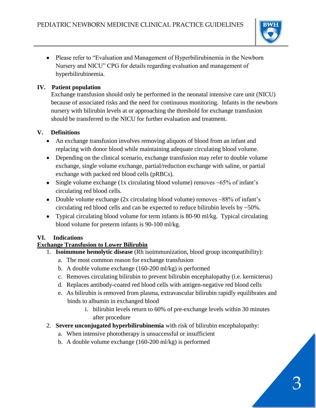

• Please refer to "Evaluation and Management of Hyperbilirubinemia in the Newborn Nursery and NICU" CPG for details regarding evaluation and management of hyperbilirubinemia.

#### **IV. Patient population**

Exchange transfusion should only be performed in the neonatal intensive care unit (NICU) because of associated risks and the need for continuous monitoring. Infants in the newborn nursery with bilirubin levels at or approaching the threshold for exchange transfusion should be transferred to the NICU for further evaluation and treatment.

#### **V. Definitions**

- An exchange transfusion involves removing aliquots of blood from an infant and replacing with donor blood while maintaining adequate circulating blood volume.
- Depending on the clinical scenario, exchange transfusion may refer to double volume exchange, single volume exchange, partial/reduction exchange with saline, or partial exchange with packed red blood cells (pRBCs).
- Single volume exchange (1x circulating blood volume) removes  $\sim 65\%$  of infant's circulating red blood cells.
- Double volume exchange (2x circulating blood volume) removes ~88% of infant's circulating red blood cells and can be expected to reduce bilirubin levels by ~50%.
- Typical circulating blood volume for term infants is 80-90 ml/kg. Typical circulating blood volume for preterm infants is 90-100 ml/kg.

# **VI. Indications**

# **Exchange Transfusion to Lower Bilirubin**

- 1. **Isoimmune hemolytic disease** (Rh isoimmunization, blood group incompatibility):
	- a. The most common reason for exchange transfusion
	- b. A double volume exchange (160-200 ml/kg) is performed
	- c. Removes circulating bilirubin to prevent bilirubin encephalopathy (i.e. kernicterus)
	- d. Replaces antibody-coated red blood cells with antigen-negative red blood cells
	- e. As bilirubin is removed from plasma, extravascular bilirubin rapidly equilibrates and binds to albumin in exchanged blood
		- i. bilirubin levels return to 60% of pre-exchange levels within 30 minutes after procedure
- 2. **Severe unconjugated hyperbilirubinemia** with risk of bilirubin encephalopathy:
	- a. When intensive phototherapy is unsuccessful or insufficient
	- b. A double volume exchange (160-200 ml/kg) is performed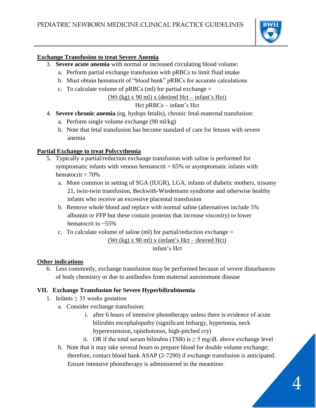

#### **Exchange Transfusion to treat Severe Anemia**

- 3. **Severe acute anemia** with normal or increased circulating blood volume:
	- a. Perform partial exchange transfusion with pRBCs to limit fluid intake
	- b. Must obtain hematocrit of "blood bank" pRBCs for accurate calculations
	- c. To calculate volume of  $pRBCs$  (ml) for partial exchange  $=$

(Wt (kg)  $x$  90 ml)  $x$  (desired Hct – infant's Hct)

# Hct pRBCs – infant's Hct

- 4. **Severe chronic anemia** (eg. hydops fetalis), chronic fetal-maternal transfusion:
	- a. Perform single volume exchange (90 ml/kg)
	- b. Note that fetal transfusion has become standard of care for fetuses with severe anemia

#### **Partial Exchange to treat Polycythemia**

- 5. Typically a partial/reduction exchange transfusion with saline is performed for symptomatic infants with venous hematocrit  $> 65\%$  or asymptomatic infants with hematocrit > 70%
	- a. More common in setting of SGA (IUGR), LGA, infants of diabetic mothers, trisomy 21, twin-twin transfusion, Beckwith-Wiedemann syndrome and otherwise healthy infants who receive an excessive placental transfusion
	- b. Remove whole blood and replace with normal saline (alternatives include 5% albumin or FFP but these contain proteins that increase viscosity) to lower hematocrit to ~55%
	- c. To calculate volume of saline (ml) for partial/reduction exchange  $=$ (Wt (kg) x 90 ml) x (infant's Hct – desired Hct) infant's Hct

#### **Other indications**

6. Less commonly, exchange transfusion may be performed because of severe disturbances of body chemistry or due to antibodies from maternal autoimmune disease

# **VII. Exchange Transfusion for Severe Hyperbilirubinemia**

- 1. Infants  $\geq$  35 weeks gestation
	- a. Consider exchange transfusion:
		- i. after 6 hours of intensive phototherapy unless there is evidence of acute bilirubin encephalopathy (significant lethargy, hypertonia, neck hyperextension, opisthotonos, high-pitched cry)
		- ii. OR if the total serum bilirubin (TSB) is  $\geq$  5 mg/dL above exchange level
	- b. Note that it may take several hours to prepare blood for double volume exchange; therefore, contact blood bank ASAP (2-7290) if exchange transfusion is anticipated. Ensure intensive phototherapy is administered in the meantime.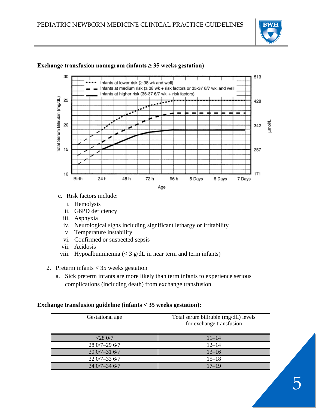



#### **Exchange transfusion nomogram (infants ≥ 35 weeks gestation)**

- c. Risk factors include:
	- i. Hemolysis
	- ii. G6PD deficiency
	- iii. Asphyxia
	- iv. Neurological signs including significant lethargy or irritability
	- v. Temperature instability
	- vi. Confirmed or suspected sepsis
	- vii. Acidosis
- viii. Hypoalbuminemia  $\langle \langle 3 \rangle$  g/dL in near term and term infants)
- 2. Preterm infants < 35 weeks gestation
	- a. Sick preterm infants are more likely than term infants to experience serious complications (including death) from exchange transfusion.

#### **Exchange transfusion guideline (infants < 35 weeks gestation):**

| Gestational age | Total serum bilirubin (mg/dL) levels<br>for exchange transfusion |
|-----------------|------------------------------------------------------------------|
| $<$ 28 0/7      | $11 - 14$                                                        |
| 28 0/7-29 6/7   | $12 - 14$                                                        |
| $300/7 - 316/7$ | $13 - 16$                                                        |
| $320/7 - 336/7$ | $15 - 18$                                                        |
| $340/7 - 346/7$ | $17 - 19$                                                        |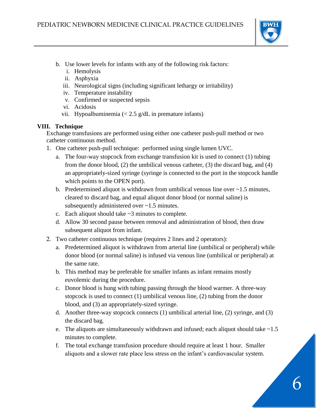

- b. Use lower levels for infants with any of the following risk factors:
	- i. Hemolysis
	- ii. Asphyxia
	- iii. Neurological signs (including significant lethargy or irritability)
	- iv. Temperature instability
	- v. Confirmed or suspected sepsis
	- vi. Acidosis
	- vii. Hypoalbuminemia  $\langle 2.5 \text{ g/d}$ L in premature infants)

#### **VIII. Technique**

Exchange transfusions are performed using either one catheter push-pull method or two catheter continuous method.

- 1. One catheter push-pull technique: performed using single lumen UVC.
	- a. The four-way stopcock from exchange transfusion kit is used to connect (1) tubing from the donor blood, (2) the umbilical venous catheter, (3) the discard bag, and (4) an appropriately-sized syringe (syringe is connected to the port in the stopcock handle which points to the OPEN port).
	- b. Predetermined aliquot is withdrawn from umbilical venous line over  $\sim$ 1.5 minutes, cleared to discard bag, and equal aliquot donor blood (or normal saline) is subsequently administered over ~1.5 minutes.
	- c. Each aliquot should take  $\sim$ 3 minutes to complete.
	- d. Allow 30 second pause between removal and administration of blood, then draw subsequent aliquot from infant.
- 2. Two catheter continuous technique (requires 2 lines and 2 operators):
	- a. Predetermined aliquot is withdrawn from arterial line (umbilical or peripheral) while donor blood (or normal saline) is infused via venous line (umbilical or peripheral) at the same rate.
	- b. This method may be preferable for smaller infants as infant remains mostly euvolemic during the procedure.
	- c. Donor blood is hung with tubing passing through the blood warmer. A three-way stopcock is used to connect (1) umbilical venous line, (2) tubing from the donor blood, and (3) an appropriately-sized syringe.
	- d. Another three-way stopcock connects (1) umbilical arterial line, (2) syringe, and (3) the discard bag.
	- e. The aliquots are simultaneously withdrawn and infused; each aliquot should take ~1.5 minutes to complete.
	- f. The total exchange transfusion procedure should require at least 1 hour. Smaller aliquots and a slower rate place less stress on the infant's cardiovascular system.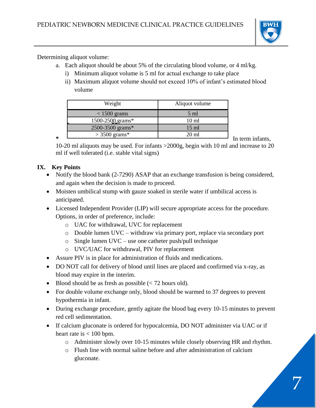

Determining aliquot volume:

- a. Each aliquot should be about 5% of the circulating blood volume, or 4 ml/kg.
	- i) Minimum aliquot volume is 5 ml for actual exchange to take place
	- ii) Maximum aliquot volume should not exceed 10% of infant's estimated blood volume

| Weight           | Aliquot volume  |
|------------------|-----------------|
| $< 1500$ grams   | $5 \text{ ml}$  |
| 1500-2500 grams* | $10 \text{ ml}$ |
| 2500-3500 grams* | $15 \text{ ml}$ |
| $>$ 3500 grams*  | $20 \text{ ml}$ |

**\*** In term infants,

10-20 ml aliquots may be used. For infants >2000g, begin with 10 ml and increase to 20 ml if well tolerated (i.e. stable vital signs)

# **IX. Key Points**

- Notify the blood bank (2-7290) ASAP that an exchange transfusion is being considered, and again when the decision is made to proceed.
- Moisten umbilical stump with gauze soaked in sterile water if umbilical access is anticipated.
- Licensed Independent Provider (LIP) will secure appropriate access for the procedure. Options, in order of preference, include:
	- o UAC for withdrawal, UVC for replacement
	- o Double lumen UVC withdraw via primary port, replace via secondary port
	- o Single lumen UVC use one catheter push/pull technique
	- o UVC/UAC for withdrawal, PIV for replacement
- Assure PIV is in place for administration of fluids and medications.
- DO NOT call for delivery of blood until lines are placed and confirmed via x-ray, as blood may expire in the interim.
- $\bullet$  Blood should be as fresh as possible (< 72 hours old).
- For double volume exchange only, blood should be warmed to 37 degrees to prevent hypothermia in infant.
- During exchange procedure, gently agitate the blood bag every 10-15 minutes to prevent red cell sedimentation.
- If calcium gluconate is ordered for hypocalcemia, DO NOT administer via UAC or if heart rate is  $< 100$  bpm.
	- o Administer slowly over 10-15 minutes while closely observing HR and rhythm.
	- o Flush line with normal saline before and after administration of calcium gluconate.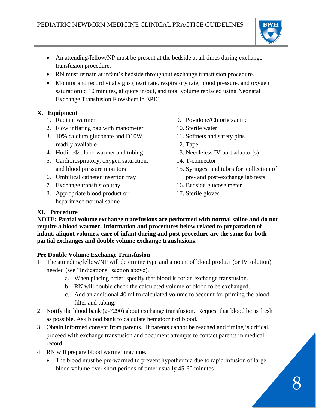

- An attending/fellow/NP must be present at the bedside at all times during exchange transfusion procedure.
- RN must remain at infant's bedside throughout exchange transfusion procedure.
- Monitor and record vital signs (heart rate, respiratory rate, blood pressure, and oxygen saturation) q 10 minutes, aliquots in/out, and total volume replaced using Neonatal Exchange Transfusion Flowsheet in EPIC.

# **X. Equipment**

- 1. Radiant warmer
- 2. Flow inflating bag with manometer
- 3. 10% calcium gluconate and D10W readily available
- 4. Hotline® blood warmer and tubing
- 5. Cardiorespiratory, oxygen saturation, and blood pressure monitors
- 6. Umbilical catheter insertion tray
- 7. Exchange transfusion tray
- 8. Appropriate blood product or heparinized normal saline
- 9. Povidone/Chlorhexadine
- 10. Sterile water
- 11. Softnets and safety pins
- 12. Tape
- 13. Needleless IV port adaptor(s)
- 14. T-connector
- 15. Syringes, and tubes for collection of pre- and post-exchange lab tests
- 16. Bedside glucose meter
- 17. Sterile gloves

# **XI. Procedure**

**NOTE: Partial volume exchange transfusions are performed with normal saline and do not require a blood warmer. Information and procedures below related to preparation of infant, aliquot volumes, care of infant during and post procedure are the same for both partial exchanges and double volume exchange transfusions.**

# **Pre Double Volume Exchange Transfusion**

- 1. The attending/fellow/NP will determine type and amount of blood product (or IV solution) needed (see "Indications" section above).
	- a. When placing order, specify that blood is for an exchange transfusion.
	- b. RN will double check the calculated volume of blood to be exchanged.
	- c. Add an additional 40 ml to calculated volume to account for priming the blood filter and tubing.
- 2. Notify the blood bank (2-7290) about exchange transfusion. Request that blood be as fresh as possible. Ask blood bank to calculate hematocrit of blood.
- 3. Obtain informed consent from parents. If parents cannot be reached and timing is critical, proceed with exchange transfusion and document attempts to contact parents in medical record.
- 4. RN will prepare blood warmer machine.
	- The blood must be pre-warmed to prevent hypothermia due to rapid infusion of large blood volume over short periods of time: usually 45-60 minutes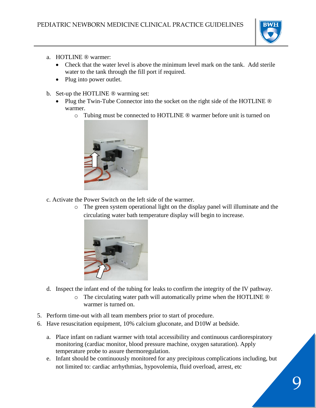

- a. HOTLINE ® warmer:
	- Check that the water level is above the minimum level mark on the tank. Add sterile water to the tank through the fill port if required.
	- Plug into power outlet.
- b. Set-up the HOTLINE ® warming set:
	- Plug the Twin-Tube Connector into the socket on the right side of the HOTLINE  $\circledR$ warmer.
		- o Tubing must be connected to HOTLINE ® warmer before unit is turned on



- c. Activate the Power Switch on the left side of the warmer.
	- o The green system operational light on the display panel will illuminate and the circulating water bath temperature display will begin to increase.



- d. Inspect the infant end of the tubing for leaks to confirm the integrity of the IV pathway.
	- o The circulating water path will automatically prime when the HOTLINE ® warmer is turned on.
- 5. Perform time-out with all team members prior to start of procedure.
- 6. Have resuscitation equipment, 10% calcium gluconate, and D10W at bedside.
	- a. Place infant on radiant warmer with total accessibility and continuous cardiorespiratory monitoring (cardiac monitor, blood pressure machine, oxygen saturation). Apply temperature probe to assure thermoregulation.
	- e. Infant should be continuously monitored for any precipitous complications including, but not limited to: cardiac arrhythmias, hypovolemia, fluid overload, arrest, etc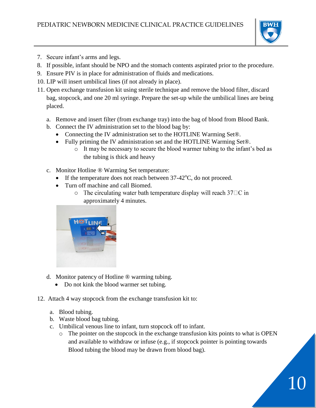

10

- 7. Secure infant's arms and legs.
- 8. If possible, infant should be NPO and the stomach contents aspirated prior to the procedure.
- 9. Ensure PIV is in place for administration of fluids and medications.
- 10. LIP will insert umbilical lines (if not already in place).
- 11. Open exchange transfusion kit using sterile technique and remove the blood filter, discard bag, stopcock, and one 20 ml syringe. Prepare the set-up while the umbilical lines are being placed.
	- a. Remove and insert filter (from exchange tray) into the bag of blood from Blood Bank.
	- b. Connect the IV administration set to the blood bag by:
		- Connecting the IV administration set to the HOTLINE Warming Set®.
		- Fully priming the IV administration set and the HOTLINE Warming Set®.
			- o It may be necessary to secure the blood warmer tubing to the infant's bed as the tubing is thick and heavy
	- c. Monitor Hotline ® Warming Set temperature:
		- If the temperature does not reach between  $37-42^{\circ}$ C, do not proceed.
		- Turn off machine and call Biomed.
			- $\circ$  The circulating water bath temperature display will reach 37 $\Box$ C in approximately 4 minutes.



- d. Monitor patency of Hotline ® warming tubing.
	- Do not kink the blood warmer set tubing.
- 12. Attach 4 way stopcock from the exchange transfusion kit to:
	- a. Blood tubing.
	- b. Waste blood bag tubing.
	- c. Umbilical venous line to infant, turn stopcock off to infant.
		- o The pointer on the stopcock in the exchange transfusion kits points to what is OPEN and available to withdraw or infuse (e.g., if stopcock pointer is pointing towards Blood tubing the blood may be drawn from blood bag).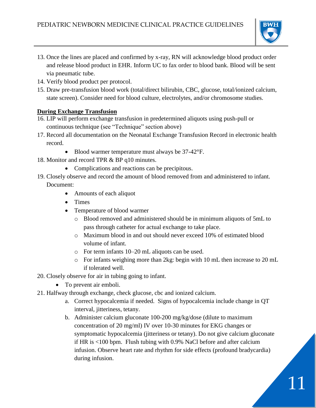

11

- 13. Once the lines are placed and confirmed by x-ray, RN will acknowledge blood product order and release blood product in EHR. Inform UC to fax order to blood bank. Blood will be sent via pneumatic tube.
- 14. Verify blood product per protocol.
- 15. Draw pre-transfusion blood work (total/direct bilirubin, CBC, glucose, total/ionized calcium, state screen). Consider need for blood culture, electrolytes, and/or chromosome studies.

# **During Exchange Transfusion**

- 16. LIP will perform exchange transfusion in predetermined aliquots using push-pull or continuous technique (see "Technique" section above)
- 17. Record all documentation on the Neonatal Exchange Transfusion Record in electronic health record.
	- Blood warmer temperature must always be 37-42°F.
- 18. Monitor and record TPR & BP q10 minutes.
	- Complications and reactions can be precipitous.
- 19. Closely observe and record the amount of blood removed from and administered to infant. Document:
	- Amounts of each aliquot
	- Times
	- Temperature of blood warmer
		- o Blood removed and administered should be in minimum aliquots of 5mL to pass through catheter for actual exchange to take place.
		- o Maximum blood in and out should never exceed 10% of estimated blood volume of infant.
		- o For term infants 10–20 mL aliquots can be used.
		- o For infants weighing more than 2kg: begin with 10 mL then increase to 20 mL if tolerated well.
- 20. Closely observe for air in tubing going to infant.
	- To prevent air emboli.
- 21. Halfway through exchange, check glucose, cbc and ionized calcium.
	- a. Correct hypocalcemia if needed. Signs of hypocalcemia include change in QT interval, jitteriness, tetany.
	- b. Administer calcium gluconate 100-200 mg/kg/dose (dilute to maximum concentration of 20 mg/ml) IV over 10-30 minutes for EKG changes or symptomatic hypocalcemia (jitteriness or tetany). Do not give calcium gluconate if HR is <100 bpm. Flush tubing with 0.9% NaCl before and after calcium infusion. Observe heart rate and rhythm for side effects (profound bradycardia) during infusion.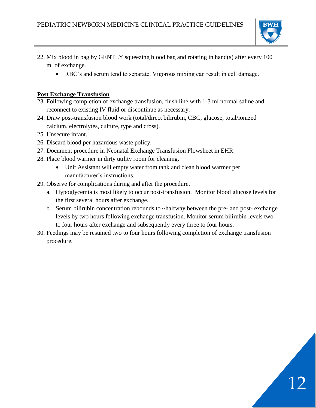

12

- 22. Mix blood in bag by GENTLY squeezing blood bag and rotating in hand(s) after every 100 ml of exchange.
	- RBC's and serum tend to separate. Vigorous mixing can result in cell damage.

#### **Post Exchange Transfusion**

- 23. Following completion of exchange transfusion, flush line with 1-3 ml normal saline and reconnect to existing IV fluid or discontinue as necessary.
- 24. Draw post-transfusion blood work (total/direct bilirubin, CBC, glucose, total/ionized calcium, electrolytes, culture, type and cross).
- 25. Unsecure infant.
- 26. Discard blood per hazardous waste policy.
- 27. Document procedure in Neonatal Exchange Transfusion Flowsheet in EHR.
- 28. Place blood warmer in dirty utility room for cleaning.
	- Unit Assistant will empty water from tank and clean blood warmer per manufacturer's instructions.
- 29. Observe for complications during and after the procedure.
	- a. Hypoglycemia is most likely to occur post-transfusion. Monitor blood glucose levels for the first several hours after exchange.
	- b. Serum bilirubin concentration rebounds to ~halfway between the pre- and post- exchange levels by two hours following exchange transfusion. Monitor serum bilirubin levels two to four hours after exchange and subsequently every three to four hours.
- 30. Feedings may be resumed two to four hours following completion of exchange transfusion procedure.